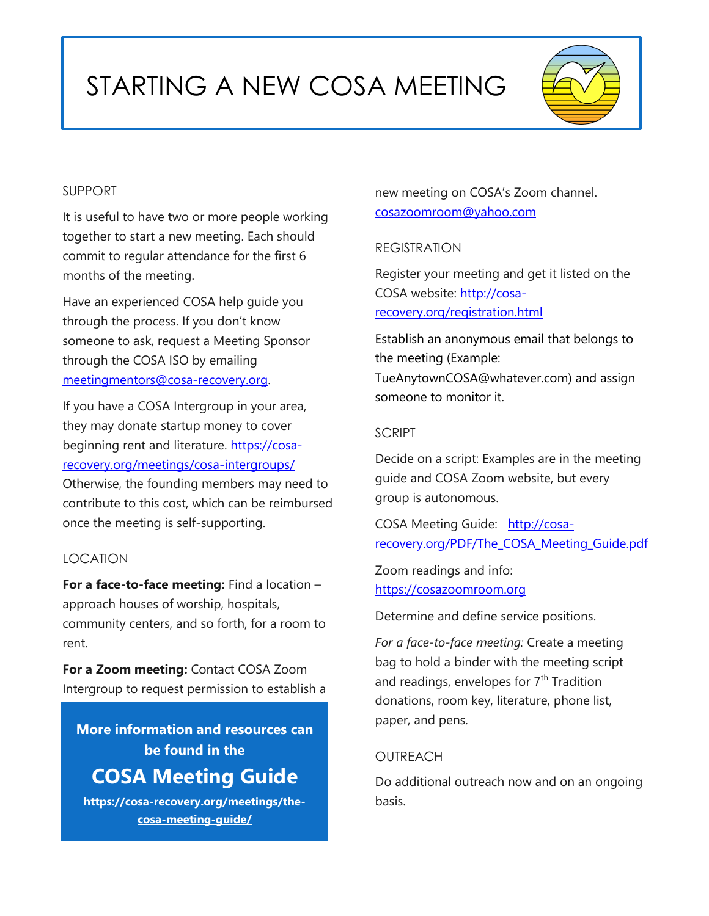# STARTING A NEW COSA MEETING



#### SUPPORT

It is useful to have two or more people working together to start a new meeting. Each should commit to regular attendance for the first 6 months of the meeting.

Have an experienced COSA help guide you through the process. If you don't know someone to ask, request a Meeting Sponsor through the COSA ISO by emailing [meetingmentors@cosa-recovery.org.](about:blank)

If you have a COSA Intergroup in your area, they may donate startup money to cover beginning rent and literature. [https://cosa](about:blank)[recovery.org/meetings/cosa-intergroups/](about:blank) Otherwise, the founding members may need to contribute to this cost, which can be reimbursed once the meeting is self-supporting.

#### LOCATION

**For a face-to-face meeting:** Find a location – approach houses of worship, hospitals, community centers, and so forth, for a room to rent.

**For a Zoom meeting:** Contact COSA Zoom Intergroup to request permission to establish a

**More information and resources can be found in the COSA Meeting Guide**

**[https://cosa-recovery.org/meetings/the](about:blank)[cosa-meeting-guide/](about:blank)**

new meeting on COSA's Zoom channel. [cosazoomroom@yahoo.com](about:blank)

#### REGISTRATION

Register your meeting and get it listed on the COSA website: [http://cosa](about:blank)[recovery.org/registration.html](about:blank)

Establish an anonymous email that belongs to the meeting (Example: TueAnytownCOSA@whatever.com) and assign someone to monitor it.

#### SCRIPT

Decide on a script: Examples are in the meeting guide and COSA Zoom website, but every group is autonomous.

COSA Meeting Guide: [http://cosa](about:blank)[recovery.org/PDF/The\\_COSA\\_Meeting\\_Guide.pdf](about:blank)

Zoom readings and info: [https://cosazoomroom.org](about:blank)

Determine and define service positions.

*For a face-to-face meeting:* Create a meeting bag to hold a binder with the meeting script and readings, envelopes for  $7<sup>th</sup>$  Tradition donations, room key, literature, phone list, paper, and pens.

### **OUTREACH**

Do additional outreach now and on an ongoing basis.